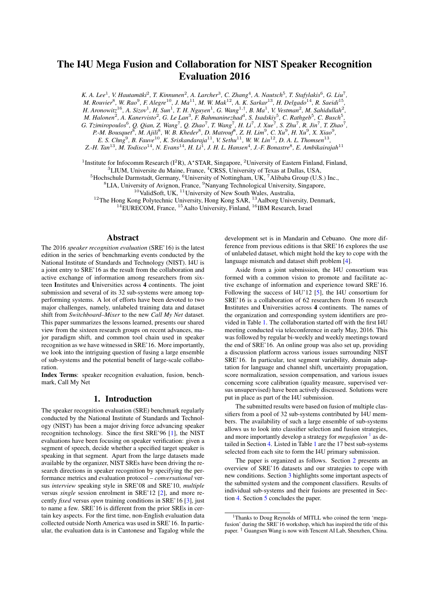# The I4U Mega Fusion and Collaboration for NIST Speaker Recognition Evaluation 2016

*K. A. Lee*<sup>1</sup>, *V. Hautamäki<sup>2</sup>, T. Kinnunen<sup>2</sup>, A. Larcher<sup>3</sup>, C. Zhang<sup>4</sup>, A. Nautsch<sup>5</sup>, T. Stafylakis<sup>6</sup>, G. Liu<sup>7</sup>, M. Rouvier*<sup>8</sup> *, W. Rao*<sup>9</sup> *, F. Alegre*<sup>10</sup>*, J. Ma*<sup>11</sup>*, M. W. Mak*<sup>12</sup>*, A. K. Sarkar*<sup>13</sup>*, H. Delgado*<sup>14</sup>*, R. Saeidi*<sup>15</sup> *,* H. Aronowitz<sup>16</sup>, A. Sizov<sup>1</sup>, H. Sun<sup>1</sup>, T. H. Nguyen<sup>1</sup>, G. Wang<sup>1,†</sup>, B. Ma<sup>1</sup>, V. Vestman<sup>2</sup>, M. Sahidullah<sup>2</sup>,

*M. Halonen*<sup>2</sup>, *A. Kanervisto*<sup>2</sup>, *G. Le Lan*<sup>3</sup>, *F. Bahmaninezhad*<sup>4</sup>, *S. Isadskiy*<sup>5</sup>, *C. Rathgeb*<sup>5</sup>, *C. Busch*<sup>5</sup>,

*G. Tzimiropoulos*<sup>6</sup>, *Q. Qian, Z. Wang<sup>7</sup>, <i>Q. Zhao<sup>7</sup>, T. Wang<sup>7</sup>, H. Li<sup>7</sup>, J. Xue<sup>7</sup>, S. Zhu<sup>7</sup>, R. Jin<sup>7</sup>, T. Zhao<sup>7</sup>,* 

*P.-M. Bousquet*<sup>8</sup>, *M. Ajili*<sup>8</sup>, *W. B. Kheder*<sup>8</sup>, *D. Matrouf*<sup>8</sup>, Z. H. Lim<sup>9</sup>, C. Xu<sup>9</sup>, H. Xu<sup>9</sup>, X. Xiao<sup>9</sup>, *E.* S. Chng<sup>9</sup>, B. Fauve<sup>10</sup>, K. Sriskandaraja<sup>11</sup>, V. Sethu<sup>11</sup>, W. W. Lin<sup>12</sup>, D. A. L. Thomsen<sup>13</sup>,

*Z.-H. Tan*<sup>13</sup>*, M. Todisco*<sup>14</sup>*, N. Evans*<sup>14</sup>*, H. Li*<sup>1</sup> *, J. H. L. Hansen*<sup>4</sup> *, J.-F. Bonastre*<sup>8</sup> *, E. Ambikairajah*<sup>11</sup>

<sup>1</sup>Institute for Infocomm Research ( $I^2R$ ), A\*STAR, Singapore, <sup>2</sup>University of Eastern Finland, Finland,

<sup>3</sup>LIUM, Universite du Maine, France, <sup>4</sup>CRSS, University of Texas at Dallas, USA,

<sup>5</sup>Hochschule Darmstadt, Germany, <sup>6</sup>University of Nottingham, UK, <sup>7</sup>Alibaba Group (U.S.) Inc.,

<sup>8</sup>LIA, University of Avignon, France, <sup>9</sup>Nanyang Technological University, Singapore,

 $10$ ValidSoft, UK,  $11$ University of New South Wales, Australia,

 $12$ The Hong Kong Polytechnic University, Hong Kong SAR,  $13$ Aalborg University, Denmark,

<sup>14</sup>EURECOM, France, <sup>15</sup> Aalto University, Finland, <sup>16</sup>IBM Research, Israel

#### Abstract

The 2016 *speaker recognition evaluation* (SRE'16) is the latest edition in the series of benchmarking events conducted by the National Institute of Standards and Technology (NIST). I4U is a joint entry to SRE'16 as the result from the collaboration and active exchange of information among researchers from sixteen Institutes and Universities across 4 continents. The joint submission and several of its 32 sub-systems were among topperforming systems. A lot of efforts have been devoted to two major challenges, namely, unlabeled training data and dataset shift from *Switchboard–Mixer* to the new *Call My Net* dataset. This paper summarizes the lessons learned, presents our shared view from the sixteen research groups on recent advances, major paradigm shift, and common tool chain used in speaker recognition as we have witnessed in SRE'16. More importantly, we look into the intriguing question of fusing a large ensemble of sub-systems and the potential benefit of large-scale collaboration.

Index Terms: speaker recognition evaluation, fusion, benchmark, Call My Net

#### 1. Introduction

The speaker recognition evaluation (SRE) benchmark regularly conducted by the National Institute of Standards and Technology (NIST) has been a major driving force advancing speaker recognition technology. Since the first SRE'96 [\[1\]](#page-4-0), the NIST evaluations have been focusing on speaker verification: given a segment of speech, decide whether a specified target speaker is speaking in that segment. Apart from the large datasets made available by the organizer, NIST SREs have been driving the research directions in speaker recognition by specifying the performance metrics and evaluation protocol – *conversational* versus *interview* speaking style in SRE'08 and SRE'10, *multiple* versus *single* session enrolment in SRE'12 [\[2\]](#page-4-1), and more recently *fixed* versus *open* training conditions in SRE'16 [\[3\]](#page-4-2), just to name a few. SRE'16 is different from the prior SREs in certain key aspects. For the first time, non-English evaluation data collected outside North America was used in SRE'16. In particular, the evaluation data is in Cantonese and Tagalog while the development set is in Mandarin and Cebuano. One more difference from previous editions is that SRE'16 explores the use of unlabeled dataset, which might hold the key to cope with the language mismatch and dataset shift problem [\[4\]](#page-4-3).

Aside from a joint submission, the I4U consortium was formed with a common vision to promote and facilitate active exchange of information and experience toward SRE'16. Following the success of I4U'12 [\[5\]](#page-4-4), the I4U consortium for SRE'16 is a collaboration of 62 researchers from 16 research Institutes and Universities across 4 continents. The names of the organization and corresponding system identifiers are provided in Table [1.](#page-1-0) The collaboration started off with the first I4U meeting conducted via teleconference in early May, 2016. This was followed by regular bi-weekly and weekly meetings toward the end of SRE'16. An online group was also set up, providing a discussion platform across various issues surrounding NIST SRE'16. In particular, test segment variability, domain adaptation for language and channel shift, uncertainty propagation, score normalization, session compensation, and various issues concerning score calibration (quality measure, supervised versus unsupervised) have been actively discussed. Solutions were put in place as part of the I4U submission.

The submitted results were based on fusion of multiple classifiers from a pool of 32 sub-systems contributed by I4U members. The availability of such a large ensemble of sub-systems allows us to look into classifier selection and fusion strategies, and more importantly develop a strategy for *megafusion*<sup>[1](#page-0-0)</sup> as detailed in Section [4.](#page-2-0) Listed in Table [1](#page-1-0) are the 17 best sub-systems selected from each site to form the I4U primary submission.

The paper is organized as follows. Section [2](#page-1-1) presents an overview of SRE'16 datasets and our strategies to cope with new conditions. Section [3](#page-1-2) highlights some important aspects of the submitted system and the component classifiers. Results of individual sub-systems and their fusions are presented in Section [4.](#page-2-0) Section [5](#page-3-0) concludes the paper.

<span id="page-0-0"></span><sup>1</sup>Thanks to Doug Reynolds of MITLL who coined the term 'megafusion' during the SRE'16 workshop, which has inspired the title of this paper. † Guangsen Wang is now with Tencent AI Lab, Shenzhen, China.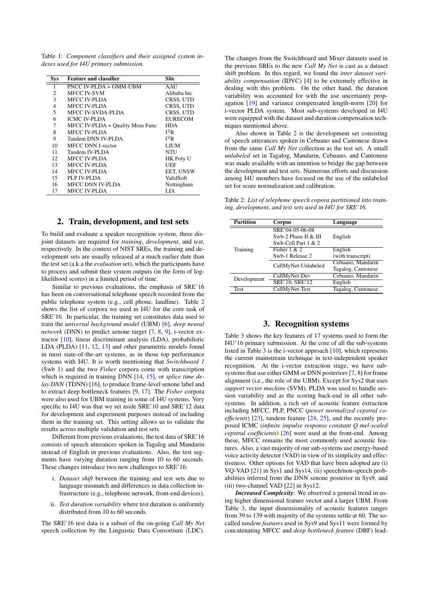<span id="page-1-0"></span>Table 1: *Component classifiers and their assigned system indexes used for I4U primary submission.*

| <b>Sys</b> | <b>Feature and classifier</b>    | <b>Site</b>      |
|------------|----------------------------------|------------------|
| 1          | PNCC IV-PLDA + GMM-UBM           | AAU              |
| 2          | MFCC IV-SVM                      | Alibaba Inc      |
| 3          | MFCC IV-PLDA                     | CRSS, UTD        |
| 4          | MFCC IV-PLDA                     | CRSS, UTD        |
| 5          | MFCC IV-SVDA-PLDA                | CRSS, UTD        |
| 6          | <b>ICMC IV-PLDA</b>              | <b>EURECOM</b>   |
| 7          | MFCC IV-PLDA + Quality Meas Func | <b>HDA</b>       |
| 8          | MFCC IV-PLDA                     | $I^2R$           |
| 9          | Tandem DNN IV-PLDA               | $I^2R$           |
| 10         | <b>MFCC DNN I-vector</b>         | <b>LIUM</b>      |
| 11         | Tandem IV-PLDA                   | NTU              |
| 12.        | MFCC IV-PLDA                     | <b>HK Poly U</b> |
| 13         | MFCC IV-PLDA                     | UEF              |
| 14         | MFCC IV-PLDA                     | EET, UNSW        |
| 15         | PLP IV-PLDA                      | ValidSoft        |
| 16         | MFCC DNN IV-PLDA                 | Nottingham       |
| 17         | MFCC IV-PLDA                     | LIA              |

## 2. Train, development, and test sets

<span id="page-1-1"></span>To build and evaluate a speaker recognition system, three disjoint datasets are required for *training*, *development*, and *test*, respectively. In the context of NIST SREs, the training and development sets are usually released at a much earlier date than the test set (a.k.a the *evaluation* set), which the participants have to process and submit their system outputs (in the form of loglikelihood scores) in a limited period of time.

Similar to previous evaluations, the emphasis of SRE'16 has been on conversational telephone speech recorded from the public telephone system (e.g., cell phone, landline). Table [2](#page-1-3) shows the list of corpora we used in I4U for the core task of SRE'16. In particular, the training set constitutes data used to train the *universal background model* (UBM) [\[6\]](#page-4-5), *deep neural network* (DNN) to predict senone target [\[7,](#page-4-6) [8,](#page-4-7) [9\]](#page-4-8), i-vector extractor [\[10\]](#page-4-9), linear discriminant analysis (LDA), probabilistic LDA (PLDA) [\[11,](#page-4-10) [12,](#page-4-11) [13\]](#page-4-12) and other parametric models found in most state-of-the-art systems, as in those top performance systems with I4U. It is worth mentioning that *Switchboard 1* (Swb 1) and the two *Fisher* corpora come with transcription which is required in training DNN [\[14,](#page-4-13) [15\]](#page-4-14), or *splice time delay DNN* (TDNN) [\[16\]](#page-4-15), to produce frame-level senone label and to extract deep bottleneck features [\[9,](#page-4-8) [17\]](#page-4-16). The *Fisher* corpora were also used for UBM training in some of I4U systems. Very specific to I4U was that we set aside SRE'10 and SRE'12 data for development and experiment purposes instead of including them in the training set. This setting allows us to validate the results across multiple validation and test sets.

Different from previous evaluations, the test data of SRE'16 consists of speech utterances spoken in Tagalog and Mandarin instead of English in previous evaluations. Also, the test segments have varying duration ranging from 10 to 60 seconds. These changes introduce two new challenges to SRE'16:

- i. *Dataset shift* between the training and test sets due to language mismatch and differences in data collection infrastructure (e.g., telephone network, front-end devices).
- ii. *Test duration variability* where test duration is uniformly distributed from 10 to 60 seconds.

The SRE'16 test data is a subset of the on-going *Call My Net* speech collection by the Linguistic Data Consortium (LDC). The changes from the Switchboard and Mixer datasets used in the previous SREs to the new *Call My Net* is cast as a dataset shift problem. In this regard, we found the *inter dataset variability compensation* (IDVC) [\[4\]](#page-4-3) to be extremely effective in dealing with this problem. On the other hand, the duration variability was accounted for with the use uncertainty propagation [\[19\]](#page-4-17) and variance compensated length-norm [\[20\]](#page-4-18) for i-vector PLDA system. Most sub-systems developed in I4U were equipped with the dataset and duration compensation techniques mentioned above.

Also shown in Table [2](#page-1-3) is the development set consisting of speech utterances spoken in Cebuano and Cantonese drawn from the same *Call My Net* collection as the test set. A small *unlabeled* set in Tagalog, Mandarin, Cebuano, and Cantonese was made available with an intention to bridge the gap between the development and test sets. Numerous efforts and discussion among I4U members have focused on the use of the unlabeled set for score normalization and calibration.

<span id="page-1-3"></span>Table 2: *List of telephone speech copora partitioned into training, development, and test sets used in I4U for SRE'16.*

| <b>Partition</b> | <b>Corpus</b>         | Language           |  |
|------------------|-----------------------|--------------------|--|
|                  | SRE'04-05-06-08       |                    |  |
|                  | Swb-2 Phase II & III  | English            |  |
|                  | Swb-Cell Part $1 & 2$ |                    |  |
| Training         | Fisher $1 & 2$        | English            |  |
|                  | Swb-1 Release 2       | (with transcript)  |  |
|                  | CallMyNet-Unlabeled   | Cebuano, Mandarin  |  |
|                  |                       | Tagalog, Cantonese |  |
| Development      | CallMyNet-Dev         | Cebuano, Mandarin  |  |
|                  | SRE'10, SRE'12        | English            |  |
| <b>Test</b>      | CallMyNet-Test        | Tagalog, Cantonese |  |

## 3. Recognition systems

<span id="page-1-2"></span>Table [3](#page-2-1) shows the key features of 17 systems used to form the I4U'16 primary submission. At the core of all the sub-systems listed in Table [3](#page-2-1) is the i-vector approach [\[10\]](#page-4-9), which represents the current mainstream technique in text-independent speaker recognition. At the i-vector extraction stage, we have subsystems that use either GMM or DNN posteriors [\[7,](#page-4-6) [8\]](#page-4-7) for frame alignment (i.e., the role of the UBM). Except for Sys2 that uses *support vector machine* (SVM), PLDA was used to handle session variability and as the scoring back-end in all other subsystems. In addition, a rich set of acoustic feature extraction including MFCC, PLP, PNCC (*power normalized cepstral coefficients*) [\[23\]](#page-4-19), tandem feature [\[24,](#page-4-20) [25\]](#page-4-21), and the recently proposed ICMC (*infinite impulse response constant Q mel-scaled cepstral coefficients*) [\[26\]](#page-4-22) were used at the front-end. Among these, MFCC remains the most commonly used acoustic features. Also, a vast majority of our sub-systems use energy-based voice activity detector (VAD) in view of its simplicity and effectiveness. Other options for VAD that have been adopted are (i) VQ-VAD [\[21\]](#page-4-23) in Sys1 and Sys14, (ii) speech/non-speech probabilities inferred from the DNN senone posterior in Sys9, and (iii) two-channel VAD [\[22\]](#page-4-24) in Sys12.

*Increased Complexity*: We observed a general trend in using higher dimensional feature vector and a larger UBM. From Table [3,](#page-2-1) the input dimensionality of acoustic features ranges from 39 to 139 with majority of the systems settle at 60. The socalled *tandem features* used in Sys9 and Sys11 were formed by concatenating MFCC and *deep bottleneck feature* (DBF) lead-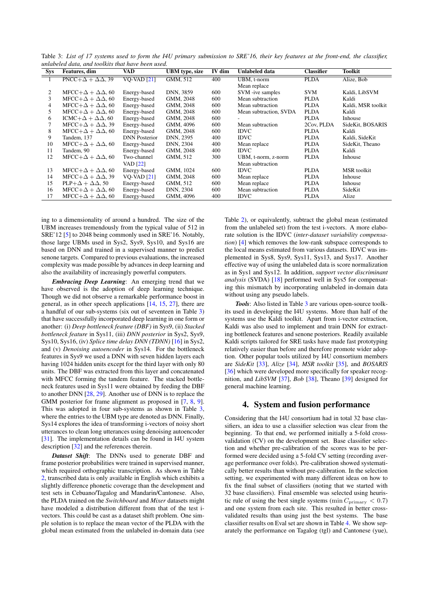<span id="page-2-1"></span>Table 3: *List of 17 systems used to form the I4U primary submission to SRE'16, their key features at the front-end, the classifier, unlabeled data, and toolkits that have been used.*

| <b>Sys</b> | Features, dim                            | VAD                  | <b>UBM</b> type, size | IV dim | <b>Unlabeled data</b>  | <b>Classifier</b> | <b>Toolkit</b>     |
|------------|------------------------------------------|----------------------|-----------------------|--------|------------------------|-------------------|--------------------|
|            | $\text{PNCC}+\Delta + \Delta\Delta$ , 39 | $VO-VAD [21]$        | GMM, 512              | 400    | UBM, t-norm            | <b>PLDA</b>       | Alize, Bob         |
|            |                                          |                      |                       |        | Mean replace           |                   |                    |
| 2          | $MFCC+\Delta+\Delta\Delta$ , 60          | Energy-based         | DNN, 3859             | 600    | SVM -ive samples       | <b>SVM</b>        | Kaldi, LibSVM      |
| 3          | $MFCC+\Delta+\Delta\Delta$ , 60          | Energy-based         | GMM, 2048             | 600    | Mean subtraction       | <b>PLDA</b>       | Kaldi              |
| 4          | $MFCC+\Delta+\Delta\Delta$ , 60          | Energy-based         | GMM, 2048             | 600    | Mean subtraction       | <b>PLDA</b>       | Kaldi, MSR toolkit |
| 5.         | $MFCC+\Delta+\Delta\Delta$ , 60          | Energy-based         | GMM, 2048             | 600    | Mean subtraction, SVDA | <b>PLDA</b>       | Kaldi              |
| 6          | ICMC+ $\Delta + \Delta\Delta$ , 60       | Energy-based         | GMM, 2048             | 600    |                        | <b>PLDA</b>       | Inhouse            |
| 7          | $MFCC+\Delta+\Delta\Delta, 39$           | Energy-based         | GMM, 4096             | 600    | Mean subtraction       | 2Cov, PLDA        | SideKit, BOSARIS   |
| 8          | $MFCC+\Delta+\Delta\Delta$ , 60          | Energy-based         | GMM, 2048             | 600    | <b>IDVC</b>            | <b>PLDA</b>       | Kaldi              |
| 9          | Tandem, 137                              | <b>DNN</b> Posterior | DNN, 2395             | 400    | <b>IDVC</b>            | <b>PLDA</b>       | Kaldi, SideKit     |
| 10         | $MFCC+\Delta+\Delta\Delta$ , 60          | Energy-based         | DNN, 2304             | 400    | Mean replace           | <b>PLDA</b>       | SideKit, Theano    |
| 11         | Tandem, 90                               | Energy-based         | GMM, 2048             | 400    | <b>IDVC</b>            | <b>PLDA</b>       | Kaldi              |
| 12         | $MFCC+\Delta+\Delta\Delta$ , 60          | Two-channel          | GMM, 512              | 300    | UBM, t-norm, z-norm    | <b>PLDA</b>       | Inhouse            |
|            |                                          | <b>VAD</b> [22]      |                       |        | Mean subtraction       |                   |                    |
| 13         | $MFCC+\Delta+\Delta\Delta$ , 60          | Energy-based         | GMM, 1024             | 600    | <b>IDVC</b>            | <b>PLDA</b>       | <b>MSR</b> toolkit |
| 14         | $MFCC+\Delta+\Delta\Delta$ , 39          | VQ-VAD $[21]$        | GMM, 2048             | 600    | Mean replace           | <b>PLDA</b>       | Inhouse            |
| 15         | $PLP + \Delta + \Delta\Delta$ , 50       | Energy-based         | GMM, 512              | 600    | Mean replace           | <b>PLDA</b>       | Inhouse            |
| 16         | $MFCC+\Delta+\Delta\Delta$ , 60          | Energy-based         | DNN, 2304             | 600    | Mean subtraction       | <b>PLDA</b>       | SideKit            |
| 17         | $MFCC+\Delta+\Delta\Delta$ , 60          | Energy-based         | GMM, 4096             | 400    | <b>IDVC</b>            | <b>PLDA</b>       | Alize              |

ing to a dimensionality of around a hundred. The size of the UBM increases tremendously from the typical value of 512 in SRE'12 [\[5\]](#page-4-4) to 2048 being commonly used in SRE'16. Notably, those large UBMs used in Sys2, Sys9, Sys10, and Sys16 are based on DNN and trained in a supervised manner to predict senone targets. Compared to previous evaluations, the increased complexity was made possible by advances in deep learning and also the availability of increasingly powerful computers.

*Embracing Deep Learning*: An emerging trend that we have observed is the adoption of deep learning technique. Though we did not observe a remarkable performance boost in general, as in other speech applications [\[14,](#page-4-13) [15,](#page-4-14) [27\]](#page-4-25), there are a handful of our sub-systems (six out of seventeen in Table [3\)](#page-2-1) that have successfully incorporated deep learning in one form or another: (i) *Deep bottleneck feature (DBF)* in Sys9, (ii) *Stacked bottleneck feature* in Sys11, (iii) *DNN posterior* in Sys2, Sys9, Sys10, Sys16, (iv) *Splice time delay DNN (TDNN)* [\[16\]](#page-4-15) in Sys2, and (v) *Denoising autoencoder* in Sys14. For the bottleneck features in Sys9 we used a DNN with seven hidden layers each having 1024 hidden units except for the third layer with only 80 units. The DBF was extracted from this layer and concatenated with MFCC forming the tandem feature. The stacked bottleneck features used in Sys11 were obtained by feeding the DBF to another DNN [\[28,](#page-4-26) [29\]](#page-4-27). Another use of DNN is to replace the GMM posterior for frame alignment as proposed in [\[7,](#page-4-6) [8,](#page-4-7) [9\]](#page-4-8). This was adopted in four sub-systems as shown in Table [3,](#page-2-1) where the entries to the UBM type are denoted as DNN. Finally, Sys14 explores the idea of transforming i-vectors of noisy short utterances to clean long utterances using denoising autoencoder [\[31\]](#page-4-28). The implementation details can be found in I4U system description [\[32\]](#page-4-29) and the references therein.

*Dataset Shift*: The DNNs used to generate DBF and frame posterior probabilities were trained in supervised manner, which required orthographic transcription. As shown in Table [2,](#page-1-3) transcribed data is only available in English which exhibits a slightly difference phonetic coverage than the development and test sets in Cebuano/Tagalog and Mandarin/Cantonese. Also, the PLDA trained on the *Switchboard* and *Mixer* datasets might have modeled a distribution different from that of the test ivectors. This could be cast as a dataset shift problem. One simple solution is to replace the mean vector of the PLDA with the global mean estimated from the unlabeled in-domain data (see

Table [2\)](#page-1-3), or equivalently, subtract the global mean (estimated from the unlabeled set) from the test i-vectors. A more elaborate solution is the IDVC (*inter-dataset variability compensation*) [\[4\]](#page-4-3) which removes the low-rank subspace corresponds to the local means estimated from various datasets. IDVC was implemented in Sys8, Sys9, Sys11, Sys13, and Sys17. Another effective way of using the unlabeled data is score normalization as in Sys1 and Sys12. In addition, *support vector discriminant analysis* (SVDA) [\[18\]](#page-4-30) performed well in Sys5 for compensating this mismatch by incorporating unlabeled in-domain data without using any pseudo labels.

*Tools*: Also listed in Table [3](#page-2-1) are various open-source toolkits used in developing the I4U systems. More than half of the systems use the Kaldi toolkit. Apart from i-vector extraction, Kaldi was also used to implement and train DNN for extracting bottleneck features and senone posteriors. Readily available Kaldi scripts tailored for SRE tasks have made fast prototyping relatively easier than before and therefore promote wider adoption. Other popular tools utilized by I4U consortium members are *SideKit* [\[33\]](#page-4-31), *Alize* [\[34\]](#page-4-32), *MSR toolkit* [\[35\]](#page-4-33), and *BOSARIS* [\[36\]](#page-4-34) which were developed more specifically for speaker recognition, and *LibSVM* [\[37\]](#page-4-35), *Bob* [\[38\]](#page-4-36), Theano [\[39\]](#page-4-37) designed for general machine learning.

## <span id="page-2-0"></span>4. System and fusion performance

Considering that the I4U consortium had in total 32 base classifiers, an idea to use a classifier selection was clear from the beginning. To that end, we performed initially a 5-fold crossvalidation (CV) on the development set. Base classifier selection and whether pre-calibration of the scores was to be performed were decided using a 5-fold CV setting (recording average performance over folds). Pre-calibration showed systematically better results than without pre-calibration. In the selection setting, we experimented with many different ideas on how to fix the final subset of classifiers (noting that we started with 32 base classifiers). Final ensemble was selected using heuristic rule of using the best single systems (min  $C_{\text{primary}} < 0.7$ ) and one system from each site. This resulted in better crossvalidated results than using just the best systems. The base classifier results on Eval set are shown in Table [4.](#page-3-1) We show separately the performance on Tagalog (tgl) and Cantonese (yue),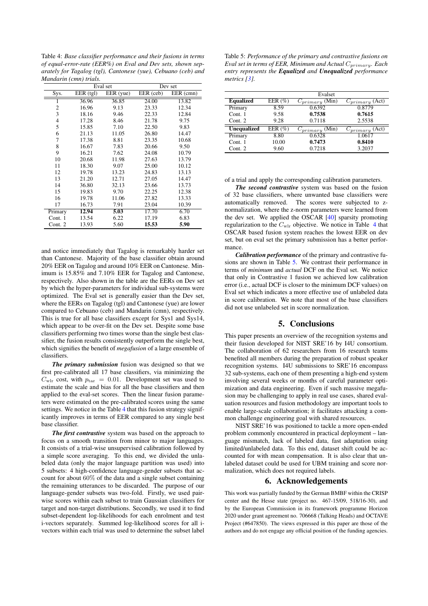<span id="page-3-1"></span>Table 4: *Base classifier performance and their fusions in terms of equal-error-rate (EER%) on Eval and Dev sets, shown separately for Tagalog (tgl), Cantonese (yue), Cebuano (ceb) and Mandarin (cmn) trials.*

|                | Eval set    |           | Dev set |                        |
|----------------|-------------|-----------|---------|------------------------|
| Sys.           | $EER$ (tgl) | EER (yue) |         | $\overline{EER}$ (cmn) |
| 1              | 36.96       | 36.85     | 24.00   | 13.82                  |
| 2              | 16.96       | 9.13      | 23.33   | 12.34                  |
| 3              | 18.16       | 9.46      | 22.33   | 12.84                  |
| $\overline{4}$ | 17.28       | 8.46      | 21.78   | 9.75                   |
| 5              | 15.85       | 7.10      | 22.50   | 9.83                   |
| 6              | 21.13       | 11.05     | 26.80   | 14.47                  |
| 7              | 17.38       | 8.81      | 23.35   | 10.68                  |
| 8              | 16.67       | 7.83      | 20.66   | 9.50                   |
| 9              | 16.21       | 7.62      | 24.08   | 10.79                  |
| 10             | 20.68       | 11.98     | 27.63   | 13.79                  |
| 11             | 18.30       | 9.07      | 25.00   | 10.12                  |
| 12             | 19.78       | 13.23     | 24.83   | 13.13                  |
| 13             | 21.20       | 12.71     | 27.05   | 14.47                  |
| 14             | 36.80       | 32.13     | 23.66   | 13.73                  |
| 15             | 19.83       | 9.70      | 22.25   | 12.38                  |
| 16             | 19.78       | 11.06     | 27.82   | 13.33                  |
| 17             | 16.73       | 7.91      | 23.04   | 10.39                  |
| Primary        | 12.94       | 5.03      | 17.70   | 6.70                   |
| Cont. 1        | 13.54       | 6.22      | 17.19   | 6.83                   |
| Cont. 2        | 13.93       | 5.60      | 15.53   | 5.90                   |

and notice immediately that Tagalog is remarkably harder set than Cantonese. Majority of the base classifier obtain around 20% EER on Tagalog and around 10% EER on Cantonese. Minimum is 15.85% and 7.10% EER for Tagalog and Cantonese, respectively. Also shown in the table are the EERs on Dev set by which the hyper-parameters for individual sub-systems were optimized. The Eval set is generally easier than the Dev set, where the EERs on Tagalog (tgl) and Cantonese (yue) are lower compared to Cebuano (ceb) and Mandarin (cmn), respectively. This is true for all base classifiers except for Sys1 and Sys14, which appear to be over-fit on the Dev set. Despite some base classifiers performing two times worse than the single best classifier, the fusion results consistently outperform the single best, which signifies the benefit of *megafusion* of a large ensemble of classifiers.

*The primary submission* fusion was designed so that we first pre-calibrated all 17 base classifiers, via minimizing the  $C_{\text{wlr}}$  cost, with  $p_{\text{tar}} = 0.01$ . Development set was used to estimate the scale and bias for all the base classifiers and then applied to the eval-set scores. Then the linear fusion parameters were estimated on the pre-calibrated scores using the same settings. We notice in the Table [4](#page-3-1) that this fusion strategy significantly improves in terms of EER compared to any single best base classifier.

*The first contrastive* system was based on the approach to focus on a smooth transition from minor to major languages. It consists of a trial-wise unsupervised calibration followed by a simple score averaging. To this end, we divided the unlabeled data (only the major language partition was used) into 5 subsets: 4 high-confidence language-gender subsets that account for about 60% of the data and a single subset containing the remaining utterances to be discarded. The purpose of our language-gender subsets was two-fold. Firstly, we used pairwise scores within each subset to train Gaussian classifiers for target and non-target distributions. Secondly, we used it to find subset-dependent log-likelihoods for each enrolment and test i-vectors separately. Summed log-likelihood scores for all ivectors within each trial was used to determine the subset label

<span id="page-3-2"></span>Table 5: *Performance of the primary and contrastive fusions on Eval set in terms of EER, Minimum and Actual*  $C_{primary}$ *. Each entry represents the Equalized and Unequalized performance metrics [\[3\]](#page-4-2).*

|                    |             | Evalset             |                     |
|--------------------|-------------|---------------------|---------------------|
| <b>Equalized</b>   | EER $(\% )$ | $C_{primary}$ (Min) | $C_{primary}$ (Act) |
| Primary            | 8.59        | 0.6392              | 0.8779              |
| Cont. 1            | 9.58        | 0.7538              | 0.7615              |
| Cont. $2$          | 9.28        | 0.7118              | 2.5538              |
| <b>Unequalized</b> | EER $(\% )$ | $C_{primary}$ (Min) | $C_{primary}$ (Act) |
| Primary            | 8.80        | 0.6328              | 1.0617              |
| Cont. 1            | 10.00       | 0.7473              | 0.8410              |
| Cont. $2$          | 9.60        | 0.7218              | 3.2037              |

of a trial and apply the corresponding calibration parameters.

*The second contrastive* system was based on the fusion of 32 base classifiers, where unwanted base classifiers were automatically removed. The scores were subjected to znormalization, where the z-norm parameters were learned from the dev set. We applied the OSCAR [\[40\]](#page-4-38) sparsity promoting regularization to the  $C_{\text{wlr}}$  objective. We notice in Table [4](#page-3-1) that OSCAR based fusion system reaches the lowest EER on dev set, but on eval set the primary submission has a better performance.

*Calibration performance* of the primary and contrastive fusions are shown in Table [5.](#page-3-2) We contrast their performance in terms of *minimum* and *actual* DCF on the Eval set. We notice that only in Contrastive 1 fusion we achieved low calibration error (i.e., actual DCF is closer to the minimum DCF values) on Eval set which indicates a more effective use of unlabeled data in score calibration. We note that most of the base classifiers did not use unlabeled set in score normalization.

## 5. Conclusions

<span id="page-3-0"></span>This paper presents an overview of the recognition systems and their fusion developed for NIST SRE'16 by I4U consortium. The collaboration of 62 researchers from 16 research teams benefited all members during the preparation of robust speaker recognition systems. I4U submissions to SRE'16 encompass 32 sub-systems, each one of them presenting a high-end system involving several weeks or months of careful parameter optimization and data engineering. Even if such massive megafusion may be challenging to apply in real use cases, shared evaluation resources and fusion methodology are important tools to enable large-scale collaboration; it facilitates attacking a common challenge engineering goal with shared resources.

NIST SRE'16 was positioned to tackle a more open-ended problem commonly encountered in practical deployment – language mismatch, lack of labeled data, fast adaptation using limited/unlabeled data. To this end, dataset shift could be accounted for with mean compensation. It is also clear that unlabeled dataset could be used for UBM training and score normalization, which does not required labels.

#### 6. Acknowledgements

This work was partially funded by the German BMBF within the CRISP center and the Hesse state (project no. 467-15/09, 518/16-30), and by the European Commission in its framework programme Horizon 2020 under grant agreement no. 706668 (Talking Heads) and OCTAVE Project (#647850). The views expressed in this paper are those of the authors and do not engage any official position of the funding agencies.